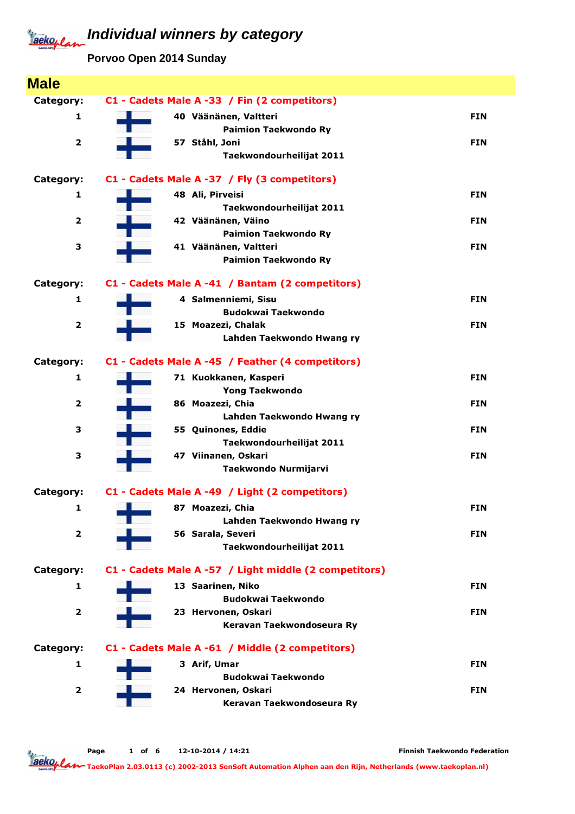**Porvoo Open 2014 Sunday**

| <b>Male</b>             |                                                       |            |
|-------------------------|-------------------------------------------------------|------------|
| Category:               | C1 - Cadets Male A -33 / Fin (2 competitors)          |            |
| 1                       | 40 Väänänen, Valtteri                                 | <b>FIN</b> |
|                         | <b>Paimion Taekwondo Ry</b>                           |            |
| $\overline{\mathbf{2}}$ | 57 Ståhl, Joni                                        | <b>FIN</b> |
|                         | Taekwondourheilijat 2011                              |            |
| Category:               | C1 - Cadets Male A -37 / Fly (3 competitors)          |            |
| 1                       | 48 Ali, Pirveisi                                      | <b>FIN</b> |
|                         | Taekwondourheilijat 2011                              |            |
| $\overline{\mathbf{2}}$ | 42 Väänänen, Väino                                    | <b>FIN</b> |
|                         | <b>Paimion Taekwondo Ry</b>                           |            |
| 3                       | 41 Väänänen, Valtteri                                 | <b>FIN</b> |
|                         | <b>Paimion Taekwondo Ry</b>                           |            |
| Category:               | C1 - Cadets Male A -41 / Bantam (2 competitors)       |            |
| 1                       | 4 Salmenniemi, Sisu                                   | <b>FIN</b> |
|                         | <b>Budokwai Taekwondo</b>                             |            |
| $\overline{\mathbf{2}}$ | 15 Moazezi, Chalak                                    | <b>FIN</b> |
|                         | Lahden Taekwondo Hwang ry                             |            |
| Category:               | C1 - Cadets Male A -45 / Feather (4 competitors)      |            |
| 1                       | 71 Kuokkanen, Kasperi                                 | <b>FIN</b> |
|                         | <b>Yong Taekwondo</b>                                 |            |
| $\overline{\mathbf{2}}$ | 86 Moazezi, Chia                                      | <b>FIN</b> |
|                         | Lahden Taekwondo Hwang ry                             |            |
| 3                       | 55 Quinones, Eddie                                    | <b>FIN</b> |
|                         | Taekwondourheilijat 2011                              |            |
| 3                       | 47 Viinanen, Oskari                                   | <b>FIN</b> |
|                         | Taekwondo Nurmijarvi                                  |            |
| Category:               | C1 - Cadets Male A -49 / Light (2 competitors)        |            |
| 1                       | 87 Moazezi, Chia                                      | <b>FIN</b> |
|                         | Lahden Taekwondo Hwang ry                             |            |
| $\overline{2}$          | 56 Sarala, Severi                                     | <b>FIN</b> |
|                         | Taekwondourheilijat 2011                              |            |
| Category:               | C1 - Cadets Male A -57 / Light middle (2 competitors) |            |
| $\mathbf{1}$            | 13 Saarinen, Niko                                     | <b>FIN</b> |
|                         | <b>Budokwai Taekwondo</b>                             |            |
| $\overline{\mathbf{2}}$ | 23 Hervonen, Oskari                                   | <b>FIN</b> |
|                         | Keravan Taekwondoseura Ry                             |            |
| Category:               | C1 - Cadets Male A -61 / Middle (2 competitors)       |            |
| 1                       | 3 Arif, Umar                                          | <b>FIN</b> |
|                         | <b>Budokwai Taekwondo</b>                             |            |
| $\overline{\mathbf{2}}$ | 24 Hervonen, Oskari                                   | <b>FIN</b> |
|                         | Keravan Taekwondoseura Ry                             |            |
|                         |                                                       |            |

Finnish Taekwondo Federation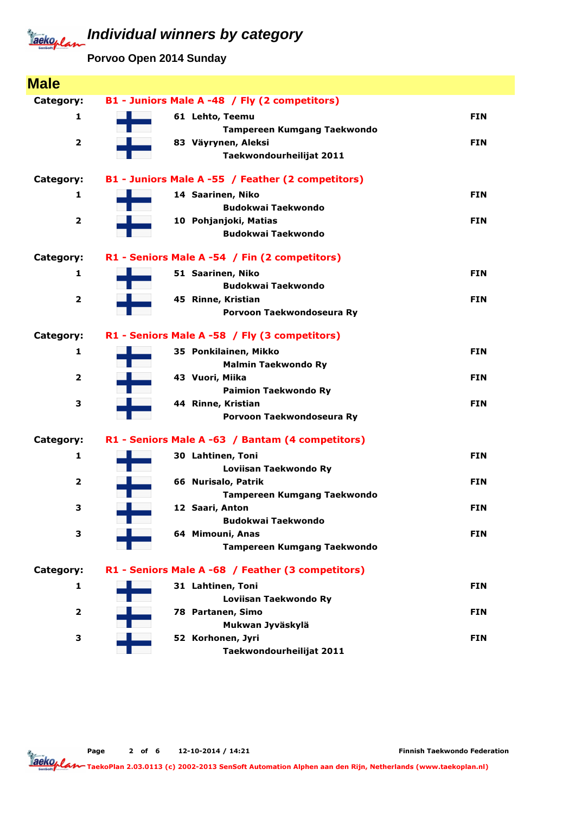**Porvoo Open 2014 Sunday**

| <b>Male</b>             |                                                    |            |
|-------------------------|----------------------------------------------------|------------|
| Category:               | B1 - Juniors Male A -48 / Fly (2 competitors)      |            |
| 1                       | 61 Lehto, Teemu                                    | <b>FIN</b> |
|                         | Tampereen Kumgang Taekwondo                        |            |
| $\overline{\mathbf{2}}$ | 83 Väyrynen, Aleksi                                | <b>FIN</b> |
|                         | Taekwondourheilijat 2011                           |            |
|                         |                                                    |            |
| Category:               | B1 - Juniors Male A -55 / Feather (2 competitors)  |            |
| 1                       | 14 Saarinen, Niko                                  | <b>FIN</b> |
|                         | <b>Budokwai Taekwondo</b>                          |            |
| $\overline{\mathbf{2}}$ | 10 Pohjanjoki, Matias<br><b>Budokwai Taekwondo</b> | <b>FIN</b> |
|                         |                                                    |            |
| Category:               | R1 - Seniors Male A -54 / Fin (2 competitors)      |            |
| 1                       | 51 Saarinen, Niko                                  | <b>FIN</b> |
|                         | <b>Budokwai Taekwondo</b>                          |            |
| $\overline{2}$          | 45 Rinne, Kristian                                 | <b>FIN</b> |
|                         | Porvoon Taekwondoseura Ry                          |            |
| Category:               | R1 - Seniors Male A -58 / Fly (3 competitors)      |            |
| 1                       | 35 Ponkilainen, Mikko                              | <b>FIN</b> |
|                         | <b>Malmin Taekwondo Ry</b>                         |            |
| $\overline{\mathbf{2}}$ | 43 Vuori, Miika                                    | <b>FIN</b> |
|                         | <b>Paimion Taekwondo Ry</b>                        |            |
| 3                       | 44 Rinne, Kristian                                 | <b>FIN</b> |
|                         | Porvoon Taekwondoseura Ry                          |            |
| Category:               | R1 - Seniors Male A -63 / Bantam (4 competitors)   |            |
| 1                       | 30 Lahtinen, Toni                                  | <b>FIN</b> |
|                         | Loviisan Taekwondo Ry                              |            |
| $\overline{\mathbf{2}}$ | 66 Nurisalo, Patrik                                | <b>FIN</b> |
|                         | <b>Tampereen Kumgang Taekwondo</b>                 |            |
| 3                       | 12 Saari, Anton                                    | <b>FIN</b> |
|                         | <b>Budokwai Taekwondo</b>                          |            |
| 3                       | 64 Mimouni, Anas                                   | <b>FIN</b> |
|                         | <b>Tampereen Kumgang Taekwondo</b>                 |            |
| Category:               | R1 - Seniors Male A -68 / Feather (3 competitors)  |            |
| 1                       | 31 Lahtinen, Toni                                  | <b>FIN</b> |
|                         | Loviisan Taekwondo Ry                              |            |
| $\overline{\mathbf{2}}$ | 78 Partanen, Simo                                  | <b>FIN</b> |
|                         | Mukwan Jyväskylä                                   |            |
| 3                       | 52 Korhonen, Jyri                                  | <b>FIN</b> |
|                         | Taekwondourheilijat 2011                           |            |

Finnish Taekwondo Federation

Page 2 of 6 12-10-2014 / 14:21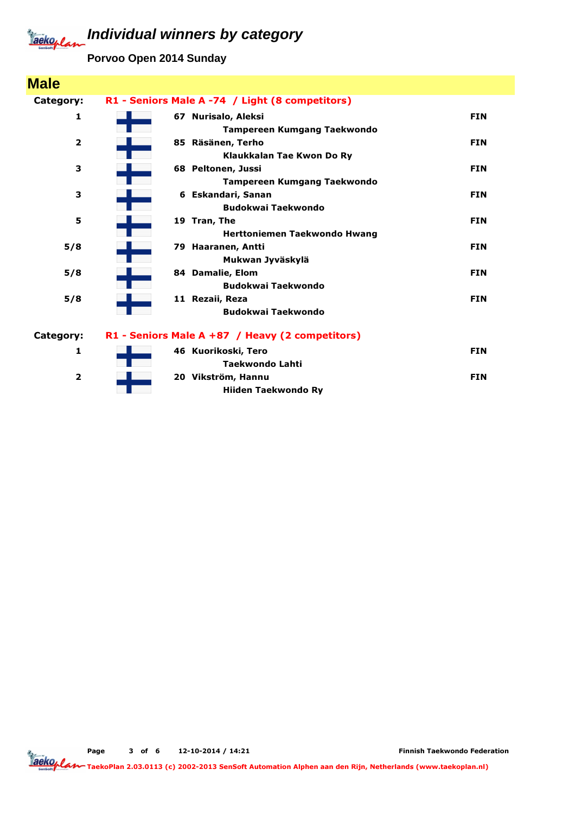**Porvoo Open 2014 Sunday**

| <b>Male</b>             |                                                 |            |
|-------------------------|-------------------------------------------------|------------|
| Category:               | R1 - Seniors Male A -74 / Light (8 competitors) |            |
| 1                       | 67 Nurisalo, Aleksi                             | <b>FIN</b> |
|                         | <b>Tampereen Kumgang Taekwondo</b>              |            |
| $\overline{\mathbf{2}}$ | 85 Räsänen, Terho                               | <b>FIN</b> |
|                         | Klaukkalan Tae Kwon Do Ry                       |            |
| з                       | 68 Peltonen, Jussi                              | <b>FIN</b> |
|                         | <b>Tampereen Kumgang Taekwondo</b>              |            |
| 3                       | 6 Eskandari, Sanan                              | <b>FIN</b> |
|                         | <b>Budokwai Taekwondo</b>                       |            |
| 5                       | 19 Tran, The                                    | <b>FIN</b> |
|                         | Herttoniemen Taekwondo Hwang                    |            |
| 5/8                     | 79 Haaranen, Antti                              | <b>FIN</b> |
|                         | Mukwan Jyväskylä                                |            |
| 5/8                     | 84 Damalie, Elom                                | <b>FIN</b> |
|                         | <b>Budokwai Taekwondo</b>                       |            |
| 5/8                     | 11 Rezaii, Reza                                 | <b>FIN</b> |
|                         | <b>Budokwai Taekwondo</b>                       |            |
| Category:               | R1 - Seniors Male A +87 / Heavy (2 competitors) |            |
| $\mathbf{1}$            | 46 Kuorikoski, Tero                             | <b>FIN</b> |
|                         | <b>Taekwondo Lahti</b>                          |            |
| $\overline{\mathbf{2}}$ | 20 Vikström, Hannu                              | <b>FIN</b> |
|                         | <b>Hiiden Taekwondo Rv</b>                      |            |

Page 3 of 6 12-10-2014 / 14:21

Finnish Taekwondo Federation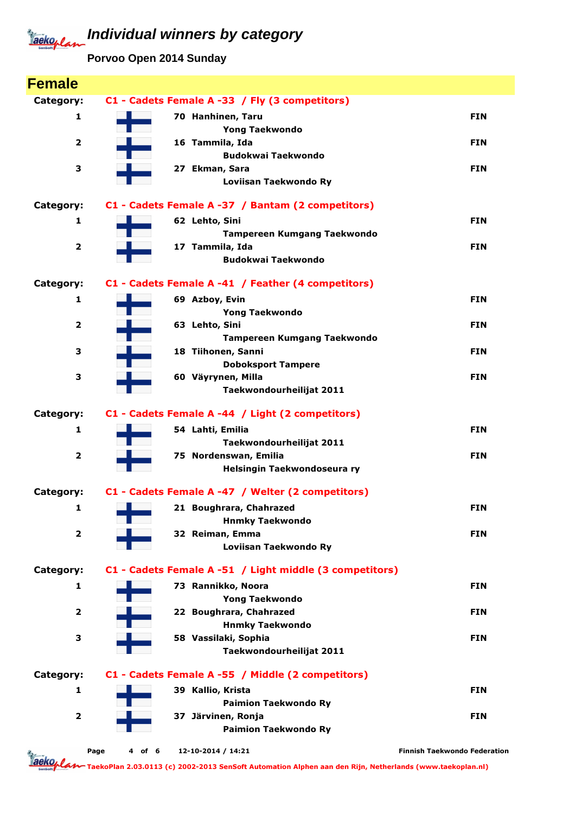**Porvoo Open 2014 Sunday**

| <b>Female</b>           |                                                         |                                     |
|-------------------------|---------------------------------------------------------|-------------------------------------|
| Category:               | C1 - Cadets Female A -33 / Fly (3 competitors)          |                                     |
| 1                       | 70 Hanhinen, Taru                                       | <b>FIN</b>                          |
|                         | <b>Yong Taekwondo</b>                                   |                                     |
| $\overline{\mathbf{2}}$ | 16 Tammila, Ida                                         | <b>FIN</b>                          |
|                         | <b>Budokwai Taekwondo</b>                               |                                     |
| 3                       | 27 Ekman, Sara                                          | <b>FIN</b>                          |
|                         | Loviisan Taekwondo Ry                                   |                                     |
| Category:               | C1 - Cadets Female A -37 / Bantam (2 competitors)       |                                     |
| 1                       | 62 Lehto, Sini                                          | <b>FIN</b>                          |
|                         | Tampereen Kumgang Taekwondo                             |                                     |
| $\overline{\mathbf{2}}$ | 17 Tammila, Ida                                         | <b>FIN</b>                          |
|                         | <b>Budokwai Taekwondo</b>                               |                                     |
| Category:               | C1 - Cadets Female A -41 / Feather (4 competitors)      |                                     |
| 1                       | 69 Azboy, Evin                                          | <b>FIN</b>                          |
|                         | <b>Yong Taekwondo</b>                                   |                                     |
| $\overline{\mathbf{2}}$ | 63 Lehto, Sini                                          | <b>FIN</b>                          |
|                         | Tampereen Kumgang Taekwondo                             |                                     |
| 3                       | 18 Tiihonen, Sanni                                      | <b>FIN</b>                          |
|                         | <b>Doboksport Tampere</b>                               |                                     |
| 3                       | 60 Väyrynen, Milla                                      | <b>FIN</b>                          |
|                         | Taekwondourheilijat 2011                                |                                     |
| Category:               | C1 - Cadets Female A -44 / Light (2 competitors)        |                                     |
| 1                       | 54 Lahti, Emilia                                        | <b>FIN</b>                          |
|                         | Taekwondourheilijat 2011                                |                                     |
| $\overline{\mathbf{2}}$ | 75 Nordenswan, Emilia                                   | <b>FIN</b>                          |
|                         | Helsingin Taekwondoseura ry                             |                                     |
| Category:               | C1 - Cadets Female A -47 / Welter (2 competitors)       |                                     |
| 1                       | 21 Boughrara, Chahrazed                                 | <b>FIN</b>                          |
|                         | <b>Hnmky Taekwondo</b>                                  |                                     |
| $\overline{2}$          | 32 Reiman, Emma                                         | <b>FIN</b>                          |
|                         | Loviisan Taekwondo Ry                                   |                                     |
| Category:               | C1 - Cadets Female A -51 / Light middle (3 competitors) |                                     |
| 1                       | 73 Rannikko, Noora                                      | <b>FIN</b>                          |
|                         | <b>Yong Taekwondo</b>                                   |                                     |
| $\mathbf{2}$            | 22 Boughrara, Chahrazed                                 | <b>FIN</b>                          |
|                         | <b>Hnmky Taekwondo</b>                                  |                                     |
| 3                       | 58 Vassilaki, Sophia                                    | <b>FIN</b>                          |
|                         | Taekwondourheilijat 2011                                |                                     |
| Category:               | C1 - Cadets Female A -55 / Middle (2 competitors)       |                                     |
| 1                       | 39 Kallio, Krista                                       | <b>FIN</b>                          |
|                         | <b>Paimion Taekwondo Ry</b>                             |                                     |
| $\overline{\mathbf{2}}$ | 37 Järvinen, Ronja                                      | <b>FIN</b>                          |
|                         | <b>Paimion Taekwondo Ry</b>                             |                                     |
|                         | Page<br>12-10-2014 / 14:21<br>4 of 6                    | <b>Finnish Taekwondo Federation</b> |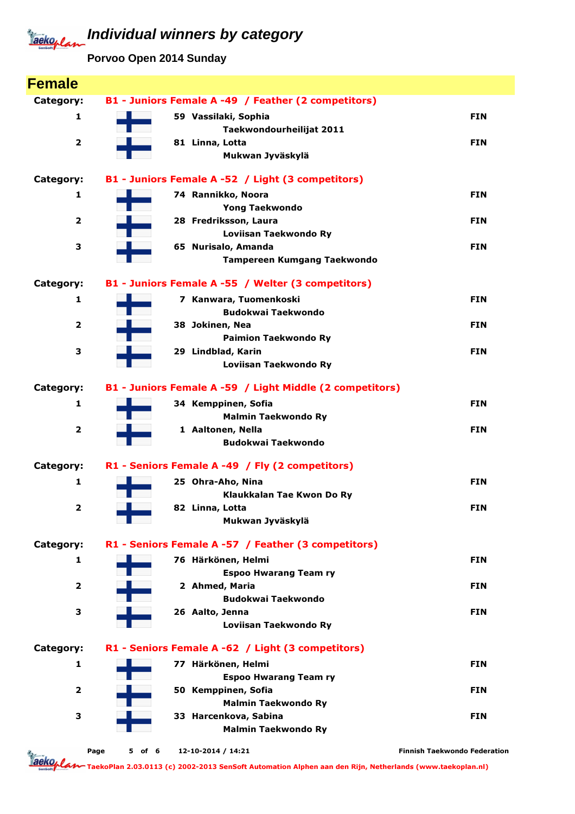**Porvoo Open 2014 Sunday**

| <b>Female</b>           |                                                          |                                     |
|-------------------------|----------------------------------------------------------|-------------------------------------|
| Category:               | B1 - Juniors Female A -49 / Feather (2 competitors)      |                                     |
| 1                       | 59 Vassilaki, Sophia                                     | <b>FIN</b>                          |
|                         | Taekwondourheilijat 2011                                 |                                     |
| $\overline{\mathbf{2}}$ | 81 Linna, Lotta                                          | <b>FIN</b>                          |
|                         | Mukwan Jyväskylä                                         |                                     |
| Category:               | B1 - Juniors Female A -52 / Light (3 competitors)        |                                     |
| 1                       | 74 Rannikko, Noora                                       | <b>FIN</b>                          |
|                         | <b>Yong Taekwondo</b>                                    |                                     |
| 2                       | 28 Fredriksson, Laura                                    | <b>FIN</b>                          |
|                         | Loviisan Taekwondo Ry                                    |                                     |
| З                       | 65 Nurisalo, Amanda                                      | <b>FIN</b>                          |
|                         | <b>Tampereen Kumgang Taekwondo</b>                       |                                     |
| Category:               | B1 - Juniors Female A -55 / Welter (3 competitors)       |                                     |
| 1                       | 7 Kanwara, Tuomenkoski                                   | <b>FIN</b>                          |
|                         | <b>Budokwai Taekwondo</b>                                |                                     |
| $\overline{\mathbf{2}}$ | 38 Jokinen, Nea                                          | <b>FIN</b>                          |
|                         | <b>Paimion Taekwondo Ry</b>                              |                                     |
| З                       | 29 Lindblad, Karin                                       | <b>FIN</b>                          |
|                         | Loviisan Taekwondo Ry                                    |                                     |
| Category:               | B1 - Juniors Female A -59 / Light Middle (2 competitors) |                                     |
| 1                       | 34 Kemppinen, Sofia                                      | <b>FIN</b>                          |
|                         | <b>Malmin Taekwondo Ry</b>                               |                                     |
| $\overline{\mathbf{2}}$ | 1 Aaltonen, Nella                                        | <b>FIN</b>                          |
|                         | <b>Budokwai Taekwondo</b>                                |                                     |
| Category:               | R1 - Seniors Female A -49 / Fly (2 competitors)          |                                     |
| 1                       | 25 Ohra-Aho, Nina                                        | <b>FIN</b>                          |
|                         | Klaukkalan Tae Kwon Do Ry                                |                                     |
| 2                       | 82 Linna, Lotta                                          | <b>FIN</b>                          |
|                         | Mukwan Jyväskylä                                         |                                     |
| Category:               | R1 - Seniors Female A -57 / Feather (3 competitors)      |                                     |
| 1                       | 76 Härkönen, Helmi                                       | <b>FIN</b>                          |
|                         | <b>Espoo Hwarang Team ry</b>                             |                                     |
| 2                       | 2 Ahmed, Maria                                           | <b>FIN</b>                          |
|                         | <b>Budokwai Taekwondo</b>                                |                                     |
| З                       | 26 Aalto, Jenna                                          | <b>FIN</b>                          |
|                         | Loviisan Taekwondo Ry                                    |                                     |
| Category:               | R1 - Seniors Female A -62 / Light (3 competitors)        |                                     |
| 1                       | 77 Härkönen, Helmi                                       | <b>FIN</b>                          |
|                         | <b>Espoo Hwarang Team ry</b>                             |                                     |
| $\overline{\mathbf{2}}$ | 50 Kemppinen, Sofia                                      | <b>FIN</b>                          |
|                         | <b>Malmin Taekwondo Ry</b>                               |                                     |
| з                       | 33 Harcenkova, Sabina                                    | <b>FIN</b>                          |
|                         | <b>Malmin Taekwondo Ry</b>                               |                                     |
|                         | 12-10-2014 / 14:21<br>Page<br>5 of 6                     | <b>Finnish Taekwondo Federation</b> |